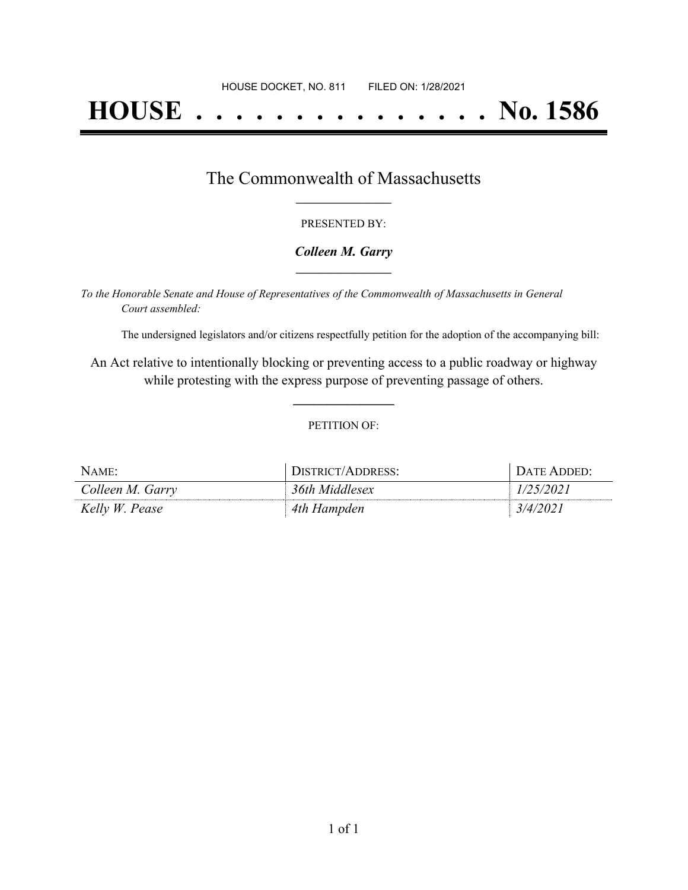# **HOUSE . . . . . . . . . . . . . . . No. 1586**

## The Commonwealth of Massachusetts **\_\_\_\_\_\_\_\_\_\_\_\_\_\_\_\_\_**

#### PRESENTED BY:

#### *Colleen M. Garry* **\_\_\_\_\_\_\_\_\_\_\_\_\_\_\_\_\_**

*To the Honorable Senate and House of Representatives of the Commonwealth of Massachusetts in General Court assembled:*

The undersigned legislators and/or citizens respectfully petition for the adoption of the accompanying bill:

An Act relative to intentionally blocking or preventing access to a public roadway or highway while protesting with the express purpose of preventing passage of others.

**\_\_\_\_\_\_\_\_\_\_\_\_\_\_\_**

#### PETITION OF:

| <b>NAME</b>      | DISTRICT/ADDRESS: | DATE ADDED: |
|------------------|-------------------|-------------|
| Colleen M. Garry | 36th Middlesex    | /25/2021    |
| Kelly W. Pease   | 4th Hampden       | 3/4/2021    |